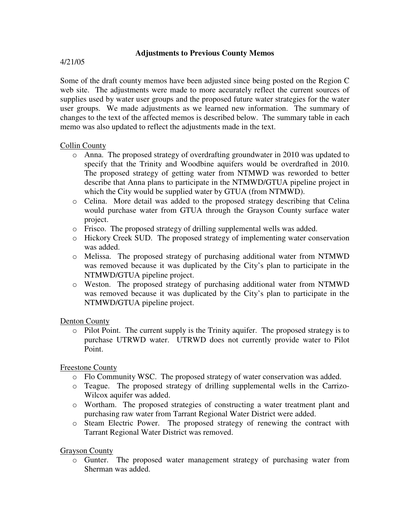## **Adjustments to Previous County Memos**

### 4/21/05

Some of the draft county memos have been adjusted since being posted on the Region C web site. The adjustments were made to more accurately reflect the current sources of supplies used by water user groups and the proposed future water strategies for the water user groups. We made adjustments as we learned new information. The summary of changes to the text of the affected memos is described below. The summary table in each memo was also updated to reflect the adjustments made in the text.

## Collin County

- o Anna. The proposed strategy of overdrafting groundwater in 2010 was updated to specify that the Trinity and Woodbine aquifers would be overdrafted in 2010. The proposed strategy of getting water from NTMWD was reworded to better describe that Anna plans to participate in the NTMWD/GTUA pipeline project in which the City would be supplied water by GTUA (from NTMWD).
- o Celina. More detail was added to the proposed strategy describing that Celina would purchase water from GTUA through the Grayson County surface water project.
- o Frisco. The proposed strategy of drilling supplemental wells was added.
- o Hickory Creek SUD. The proposed strategy of implementing water conservation was added.
- o Melissa. The proposed strategy of purchasing additional water from NTMWD was removed because it was duplicated by the City's plan to participate in the NTMWD/GTUA pipeline project.
- o Weston. The proposed strategy of purchasing additional water from NTMWD was removed because it was duplicated by the City's plan to participate in the NTMWD/GTUA pipeline project.

### Denton County

o Pilot Point. The current supply is the Trinity aquifer. The proposed strategy is to purchase UTRWD water. UTRWD does not currently provide water to Pilot Point.

# Freestone County

- o Flo Community WSC. The proposed strategy of water conservation was added.
- o Teague. The proposed strategy of drilling supplemental wells in the Carrizo-Wilcox aquifer was added.
- o Wortham. The proposed strategies of constructing a water treatment plant and purchasing raw water from Tarrant Regional Water District were added.
- o Steam Electric Power. The proposed strategy of renewing the contract with Tarrant Regional Water District was removed.

# Grayson County

o Gunter. The proposed water management strategy of purchasing water from Sherman was added.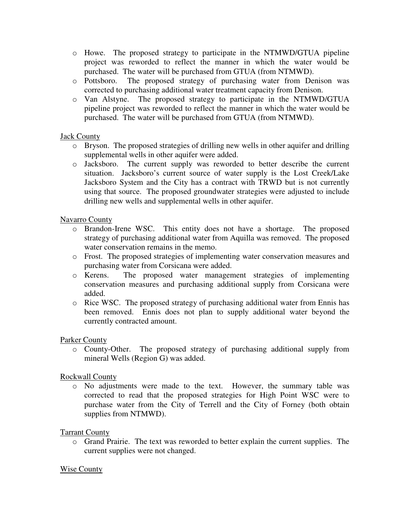- o Howe. The proposed strategy to participate in the NTMWD/GTUA pipeline project was reworded to reflect the manner in which the water would be purchased. The water will be purchased from GTUA (from NTMWD).
- o Pottsboro. The proposed strategy of purchasing water from Denison was corrected to purchasing additional water treatment capacity from Denison.
- o Van Alstyne. The proposed strategy to participate in the NTMWD/GTUA pipeline project was reworded to reflect the manner in which the water would be purchased. The water will be purchased from GTUA (from NTMWD).

## Jack County

- o Bryson. The proposed strategies of drilling new wells in other aquifer and drilling supplemental wells in other aquifer were added.
- o Jacksboro. The current supply was reworded to better describe the current situation. Jacksboro's current source of water supply is the Lost Creek/Lake Jacksboro System and the City has a contract with TRWD but is not currently using that source. The proposed groundwater strategies were adjusted to include drilling new wells and supplemental wells in other aquifer.

## Navarro County

- o Brandon-Irene WSC. This entity does not have a shortage. The proposed strategy of purchasing additional water from Aquilla was removed. The proposed water conservation remains in the memo.
- o Frost. The proposed strategies of implementing water conservation measures and purchasing water from Corsicana were added.
- o Kerens. The proposed water management strategies of implementing conservation measures and purchasing additional supply from Corsicana were added.
- o Rice WSC. The proposed strategy of purchasing additional water from Ennis has been removed. Ennis does not plan to supply additional water beyond the currently contracted amount.

### Parker County

o County-Other. The proposed strategy of purchasing additional supply from mineral Wells (Region G) was added.

# Rockwall County

o No adjustments were made to the text. However, the summary table was corrected to read that the proposed strategies for High Point WSC were to purchase water from the City of Terrell and the City of Forney (both obtain supplies from NTMWD).

### Tarrant County

o Grand Prairie. The text was reworded to better explain the current supplies. The current supplies were not changed.

### Wise County